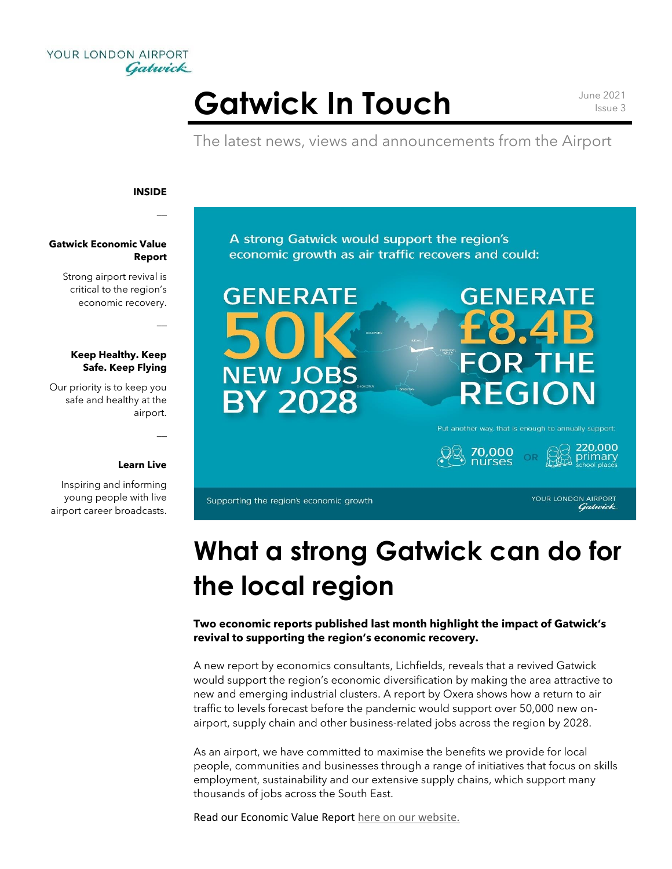

# Gatwick In Touch **June 2021**

Issue 3

The latest news, views and announcements from the Airport

#### **INSIDE**

 $\overline{a}$ 

 $\overline{a}$ 

 $\overline{a}$ 

### **Gatwick Economic Value Report**

Strong airport revival is critical to the region's economic recovery.

### **Keep Healthy. Keep Safe. Keep Flying**

Our priority is to keep you safe and healthy at the airport.

#### **Learn Live**

Inspiring and informing young people with live airport career broadcasts. A strong Gatwick would support the region's economic growth as air traffic recovers and could:



# **GENERATE** )R TH REGION

Put another way, that is enough to annually support:



Supporting the region's economic growth

YOUR LONDON AIRPORT Gatwick

## **What a strong Gatwick can do for the local region**

**Two economic reports published last month highlight the impact of Gatwick's revival to supporting the region's economic recovery.**

A new report by economics consultants, Lichfields, reveals that a revived Gatwick would support the region's economic diversification by making the area attractive to new and emerging industrial clusters. A report by Oxera shows how a return to air traffic to levels forecast before the pandemic would support over 50,000 new onairport, supply chain and other business-related jobs across the region by 2028.

As an airport, we have committed to maximise the benefits we provide for local people, communities and businesses through a range of initiatives that focus on skills employment, sustainability and our extensive supply chains, which support many thousands of jobs across the South East.

Read our Economic Value Report [here on our website.](https://www.gatwickairport.com/business-community/community-sustainability/economy/)